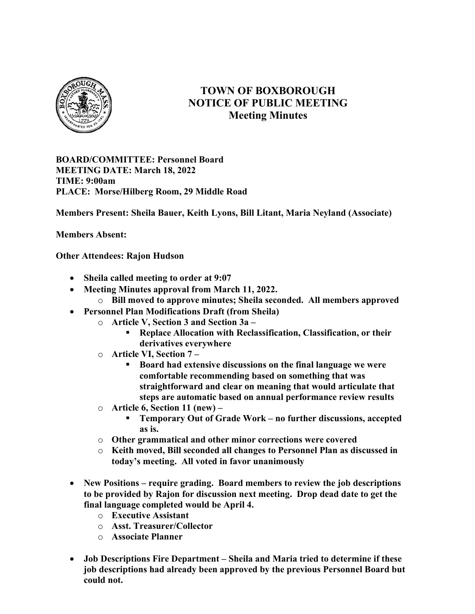

## TOWN OF BOXBOROUGH NOTICE OF PUBLIC MEETING Meeting Minutes

BOARD/COMMITTEE: Personnel Board MEETING DATE: March 18, 2022 TIME: 9:00am PLACE: Morse/Hilberg Room, 29 Middle Road

Members Present: Sheila Bauer, Keith Lyons, Bill Litant, Maria Neyland (Associate)

Members Absent:

Other Attendees: Rajon Hudson

- Sheila called meeting to order at 9:07
- Meeting Minutes approval from March 11, 2022.
	- o Bill moved to approve minutes; Sheila seconded. All members approved
- Personnel Plan Modifications Draft (from Sheila)
	- o Article V, Section 3 and Section 3a
		- Replace Allocation with Reclassification, Classification, or their derivatives everywhere
	- o Article VI, Section 7
		- Board had extensive discussions on the final language we were comfortable recommending based on something that was straightforward and clear on meaning that would articulate that steps are automatic based on annual performance review results
	- $\circ$  Article 6, Section 11 (new)
		- Temporary Out of Grade Work no further discussions, accepted as is.
	- o Other grammatical and other minor corrections were covered
	- o Keith moved, Bill seconded all changes to Personnel Plan as discussed in today's meeting. All voted in favor unanimously
- New Positions require grading. Board members to review the job descriptions to be provided by Rajon for discussion next meeting. Drop dead date to get the final language completed would be April 4.
	- o Executive Assistant
	- o Asst. Treasurer/Collector
	- o Associate Planner
- Job Descriptions Fire Department Sheila and Maria tried to determine if these job descriptions had already been approved by the previous Personnel Board but could not.